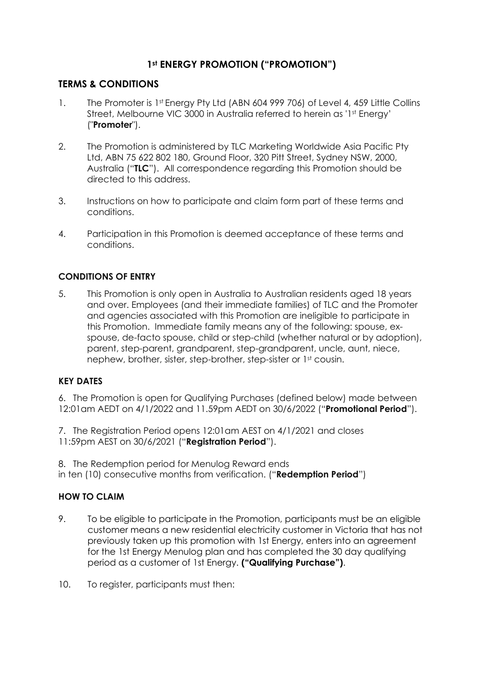# **1st ENERGY PROMOTION ("PROMOTION")**

## **TERMS & CONDITIONS**

- 1. The Promoter is 1st Energy Pty Ltd (ABN 604 999 706) of Level 4, 459 Little Collins Street, Melbourne VIC 3000 in Australia referred to herein as '1<sup>st</sup> Energy' ("**Promoter**").
- 2. The Promotion is administered by TLC Marketing Worldwide Asia Pacific Pty Ltd, ABN 75 622 802 180, Ground Floor, 320 Pitt Street, Sydney NSW, 2000, Australia ("**TLC**"). All correspondence regarding this Promotion should be directed to this address.
- 3. Instructions on how to participate and claim form part of these terms and conditions.
- 4. Participation in this Promotion is deemed acceptance of these terms and conditions.

## **CONDITIONS OF ENTRY**

5. This Promotion is only open in Australia to Australian residents aged 18 years and over. Employees (and their immediate families) of TLC and the Promoter and agencies associated with this Promotion are ineligible to participate in this Promotion. Immediate family means any of the following: spouse, exspouse, de-facto spouse, child or step-child (whether natural or by adoption), parent, step-parent, grandparent, step-grandparent, uncle, aunt, niece, nephew, brother, sister, step-brother, step-sister or 1<sup>st</sup> cousin.

### **KEY DATES**

6. The Promotion is open for Qualifying Purchases (defined below) made between 12:01am AEDT on 4/1/2022 and 11.59pm AEDT on 30/6/2022 ("**Promotional Period**").

7. The Registration Period opens 12:01am AEST on 4/1/2021 and closes 11:59pm AEST on 30/6/2021 ("**Registration Period**").

8. The Redemption period for Menulog Reward ends in ten (10) consecutive months from verification. ("**Redemption Period**")

## **HOW TO CLAIM**

- 9. To be eligible to participate in the Promotion, participants must be an eligible customer means a new residential electricity customer in Victoria that has not previously taken up this promotion with 1st Energy, enters into an agreement for the 1st Energy Menulog plan and has completed the 30 day qualifying period as a customer of 1st Energy. **("Qualifying Purchase")**.
- 10. To register, participants must then: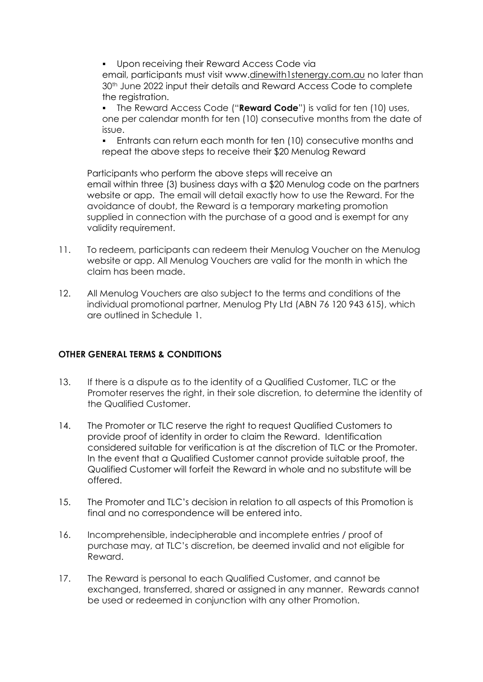**• Upon receiving their Reward Access Code via** email, participants must visit www.dinewith1stenergy.com.au no later than 30<sup>th</sup> June 2022 input their details and Reward Access Code to complete the registration.

The Reward Access Code ("**Reward Code**") is valid for ten (10) uses, one per calendar month for ten (10) consecutive months from the date of issue.

▪ Entrants can return each month for ten (10) consecutive months and repeat the above steps to receive their \$20 Menulog Reward

Participants who perform the above steps will receive an email within three (3) business days with a \$20 Menulog code on the partners website or app. The email will detail exactly how to use the Reward. For the avoidance of doubt, the Reward is a temporary marketing promotion supplied in connection with the purchase of a good and is exempt for any validity requirement.

- 11. To redeem, participants can redeem their Menulog Voucher on the Menulog website or app. All Menulog Vouchers are valid for the month in which the claim has been made.
- 12. All Menulog Vouchers are also subject to the terms and conditions of the individual promotional partner, Menulog Pty Ltd (ABN 76 120 943 615), which are outlined in Schedule 1.

### **OTHER GENERAL TERMS & CONDITIONS**

- 13. If there is a dispute as to the identity of a Qualified Customer, TLC or the Promoter reserves the right, in their sole discretion, to determine the identity of the Qualified Customer.
- 14. The Promoter or TLC reserve the right to request Qualified Customers to provide proof of identity in order to claim the Reward. Identification considered suitable for verification is at the discretion of TLC or the Promoter. In the event that a Qualified Customer cannot provide suitable proof, the Qualified Customer will forfeit the Reward in whole and no substitute will be offered.
- 15. The Promoter and TLC's decision in relation to all aspects of this Promotion is final and no correspondence will be entered into.
- 16. Incomprehensible, indecipherable and incomplete entries / proof of purchase may, at TLC's discretion, be deemed invalid and not eligible for Reward.
- 17. The Reward is personal to each Qualified Customer, and cannot be exchanged, transferred, shared or assigned in any manner. Rewards cannot be used or redeemed in conjunction with any other Promotion.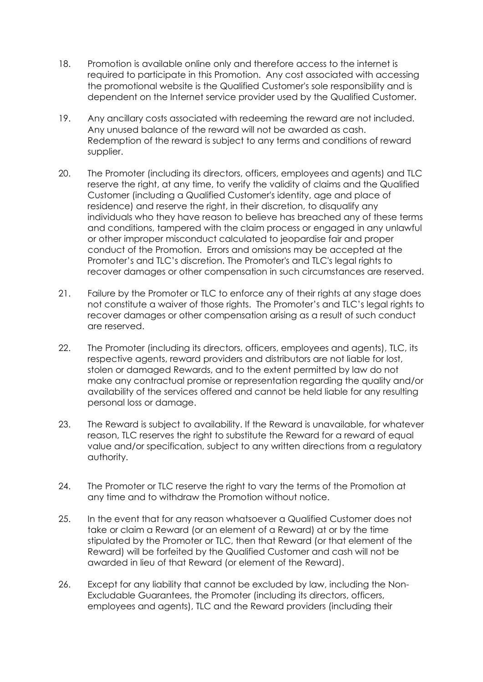- 18. Promotion is available online only and therefore access to the internet is required to participate in this Promotion. Any cost associated with accessing the promotional website is the Qualified Customer's sole responsibility and is dependent on the Internet service provider used by the Qualified Customer.
- 19. Any ancillary costs associated with redeeming the reward are not included. Any unused balance of the reward will not be awarded as cash. Redemption of the reward is subject to any terms and conditions of reward supplier.
- 20. The Promoter (including its directors, officers, employees and agents) and TLC reserve the right, at any time, to verify the validity of claims and the Qualified Customer (including a Qualified Customer's identity, age and place of residence) and reserve the right, in their discretion, to disqualify any individuals who they have reason to believe has breached any of these terms and conditions, tampered with the claim process or engaged in any unlawful or other improper misconduct calculated to jeopardise fair and proper conduct of the Promotion. Errors and omissions may be accepted at the Promoter's and TLC's discretion. The Promoter's and TLC's legal rights to recover damages or other compensation in such circumstances are reserved.
- 21. Failure by the Promoter or TLC to enforce any of their rights at any stage does not constitute a waiver of those rights. The Promoter's and TLC's legal rights to recover damages or other compensation arising as a result of such conduct are reserved.
- 22. The Promoter (including its directors, officers, employees and agents), TLC, its respective agents, reward providers and distributors are not liable for lost, stolen or damaged Rewards, and to the extent permitted by law do not make any contractual promise or representation regarding the quality and/or availability of the services offered and cannot be held liable for any resulting personal loss or damage.
- 23. The Reward is subject to availability. If the Reward is unavailable, for whatever reason, TLC reserves the right to substitute the Reward for a reward of equal value and/or specification, subject to any written directions from a regulatory authority.
- 24. The Promoter or TLC reserve the right to vary the terms of the Promotion at any time and to withdraw the Promotion without notice.
- 25. In the event that for any reason whatsoever a Qualified Customer does not take or claim a Reward (or an element of a Reward) at or by the time stipulated by the Promoter or TLC, then that Reward (or that element of the Reward) will be forfeited by the Qualified Customer and cash will not be awarded in lieu of that Reward (or element of the Reward).
- 26. Except for any liability that cannot be excluded by law, including the Non-Excludable Guarantees, the Promoter (including its directors, officers, employees and agents), TLC and the Reward providers (including their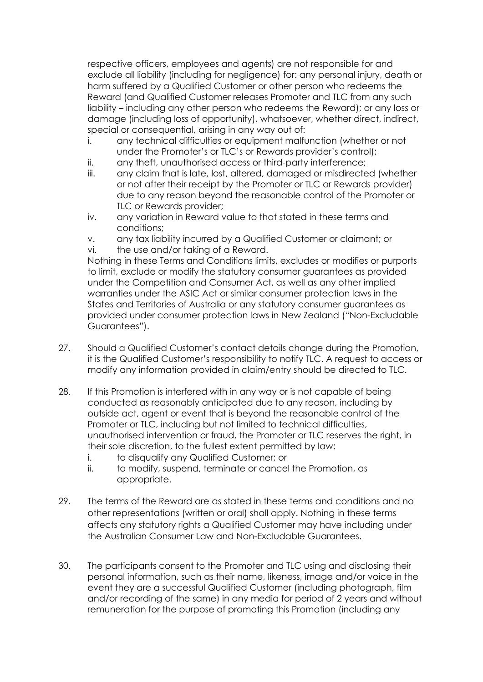respective officers, employees and agents) are not responsible for and exclude all liability (including for negligence) for: any personal injury, death or harm suffered by a Qualified Customer or other person who redeems the Reward (and Qualified Customer releases Promoter and TLC from any such liability – including any other person who redeems the Reward); or any loss or damage (including loss of opportunity), whatsoever, whether direct, indirect, special or consequential, arising in any way out of:

- i. any technical difficulties or equipment malfunction (whether or not under the Promoter's or TLC's or Rewards provider's control);
- ii. any theft, unauthorised access or third-party interference;
- iii. any claim that is late, lost, altered, damaged or misdirected (whether or not after their receipt by the Promoter or TLC or Rewards provider) due to any reason beyond the reasonable control of the Promoter or TLC or Rewards provider;
- iv. any variation in Reward value to that stated in these terms and conditions;
- v. any tax liability incurred by a Qualified Customer or claimant; or
- vi. the use and/or taking of a Reward.

Nothing in these Terms and Conditions limits, excludes or modifies or purports to limit, exclude or modify the statutory consumer guarantees as provided under the Competition and Consumer Act, as well as any other implied warranties under the ASIC Act or similar consumer protection laws in the States and Territories of Australia or any statutory consumer guarantees as provided under consumer protection laws in New Zealand ("Non-Excludable Guarantees").

- 27. Should a Qualified Customer's contact details change during the Promotion, it is the Qualified Customer's responsibility to notify TLC. A request to access or modify any information provided in claim/entry should be directed to TLC.
- 28. If this Promotion is interfered with in any way or is not capable of being conducted as reasonably anticipated due to any reason, including by outside act, agent or event that is beyond the reasonable control of the Promoter or TLC, including but not limited to technical difficulties, unauthorised intervention or fraud, the Promoter or TLC reserves the right, in their sole discretion, to the fullest extent permitted by law:
	- i. to disqualify any Qualified Customer; or
	- ii. to modify, suspend, terminate or cancel the Promotion, as appropriate.
- 29. The terms of the Reward are as stated in these terms and conditions and no other representations (written or oral) shall apply. Nothing in these terms affects any statutory rights a Qualified Customer may have including under the Australian Consumer Law and Non-Excludable Guarantees.
- 30. The participants consent to the Promoter and TLC using and disclosing their personal information, such as their name, likeness, image and/or voice in the event they are a successful Qualified Customer (including photograph, film and/or recording of the same) in any media for period of 2 years and without remuneration for the purpose of promoting this Promotion (including any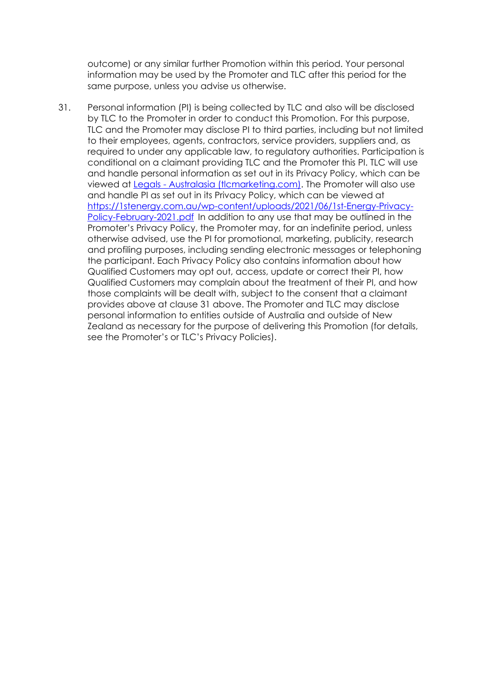outcome) or any similar further Promotion within this period. Your personal information may be used by the Promoter and TLC after this period for the same purpose, unless you advise us otherwise.

31. Personal information (PI) is being collected by TLC and also will be disclosed by TLC to the Promoter in order to conduct this Promotion. For this purpose, TLC and the Promoter may disclose PI to third parties, including but not limited to their employees, agents, contractors, service providers, suppliers and, as required to under any applicable law, to regulatory authorities. Participation is conditional on a claimant providing TLC and the Promoter this PI. TLC will use and handle personal information as set out in its Privacy Policy, which can be viewed at Legals - [Australasia \(tlcmarketing.com\).](https://www.tlcmarketing.com/australasia/legals/) The Promoter will also use and handle PI as set out in its Privacy Policy, which can be viewed at [https://1stenergy.com.au/wp-content/uploads/2021/06/1st-Energy-Privacy-](https://1stenergy.com.au/wp-content/uploads/2021/06/1st-Energy-Privacy-Policy-February-2021.pdf)[Policy-February-2021.pdf](https://1stenergy.com.au/wp-content/uploads/2021/06/1st-Energy-Privacy-Policy-February-2021.pdf) In addition to any use that may be outlined in the Promoter's Privacy Policy, the Promoter may, for an indefinite period, unless otherwise advised, use the PI for promotional, marketing, publicity, research and profiling purposes, including sending electronic messages or telephoning the participant. Each Privacy Policy also contains information about how Qualified Customers may opt out, access, update or correct their PI, how Qualified Customers may complain about the treatment of their PI, and how those complaints will be dealt with, subject to the consent that a claimant provides above at clause 31 above. The Promoter and TLC may disclose personal information to entities outside of Australia and outside of New Zealand as necessary for the purpose of delivering this Promotion (for details, see the Promoter's or TLC's Privacy Policies).